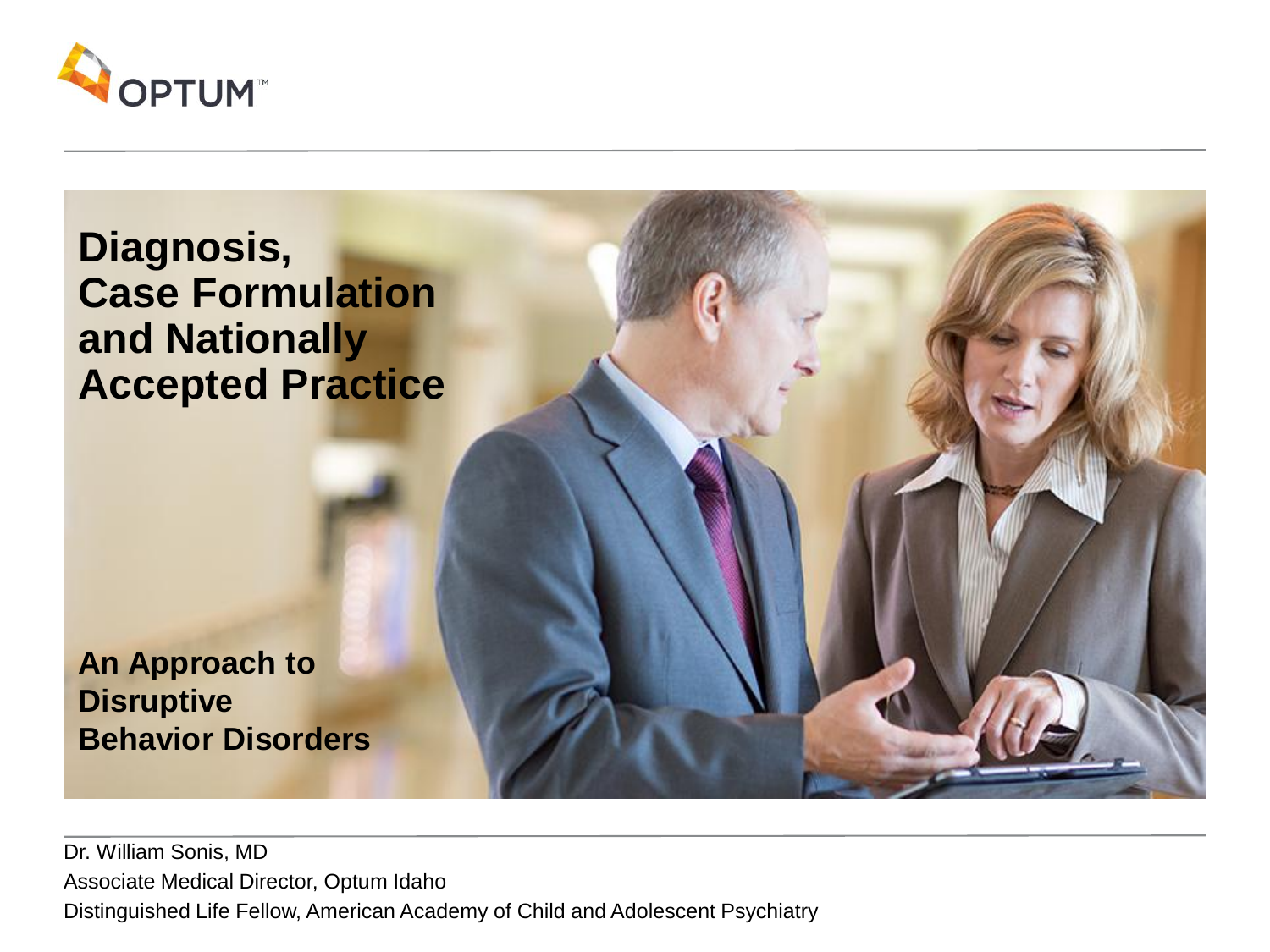

#### **Diagnosis, Case Formulation and Nationally Accepted Practice**

**An Approach to Disruptive Behavior Disorders**

Dr. William Sonis, MD Associate Medical Director, Optum Idaho Distinguished Life Fellow, American Academy of Child and Adolescent Psychiatry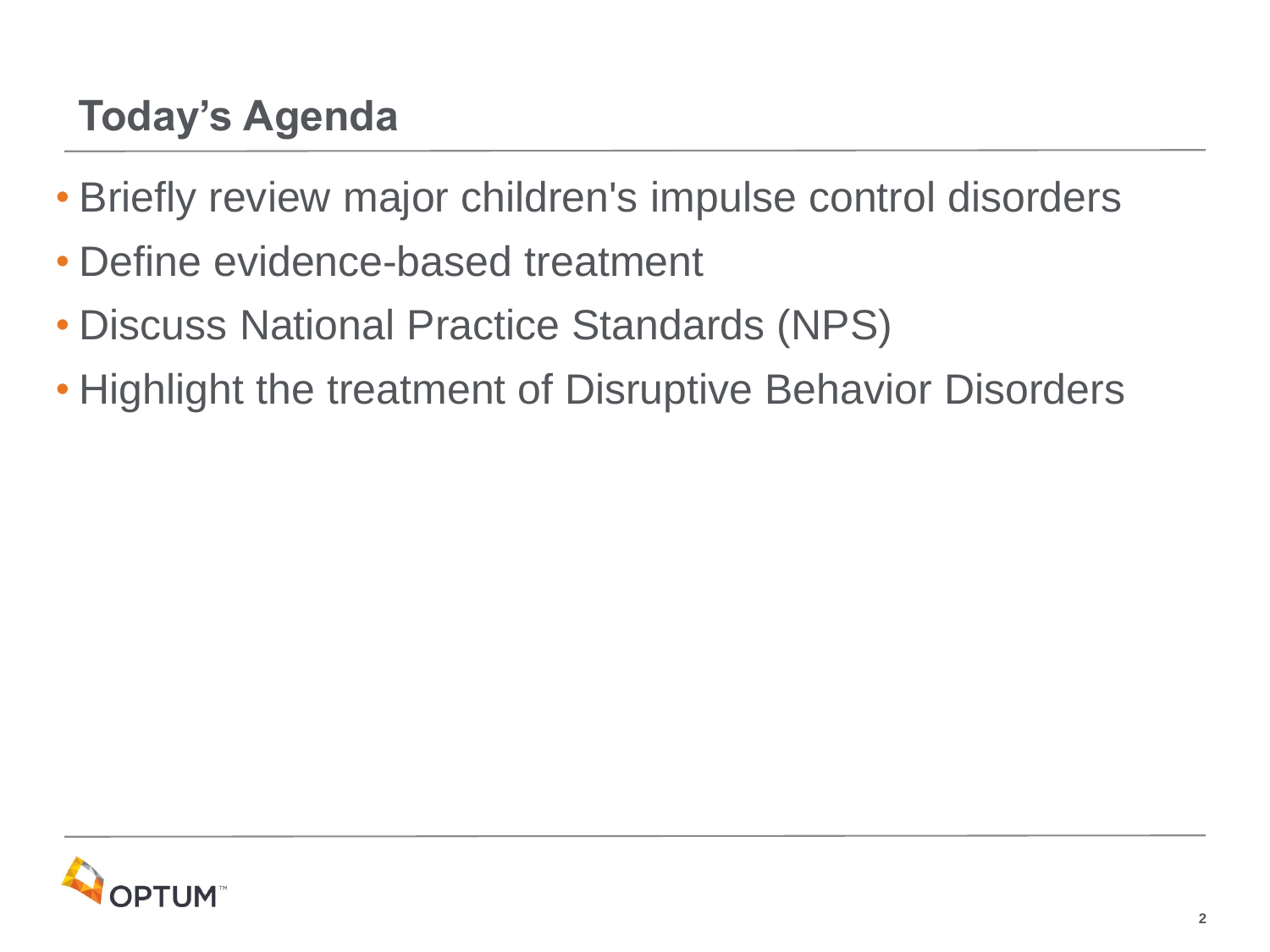## **Today's Agenda**

- Briefly review major children's impulse control disorders
- Define evidence-based treatment
- Discuss National Practice Standards (NPS)
- Highlight the treatment of Disruptive Behavior Disorders

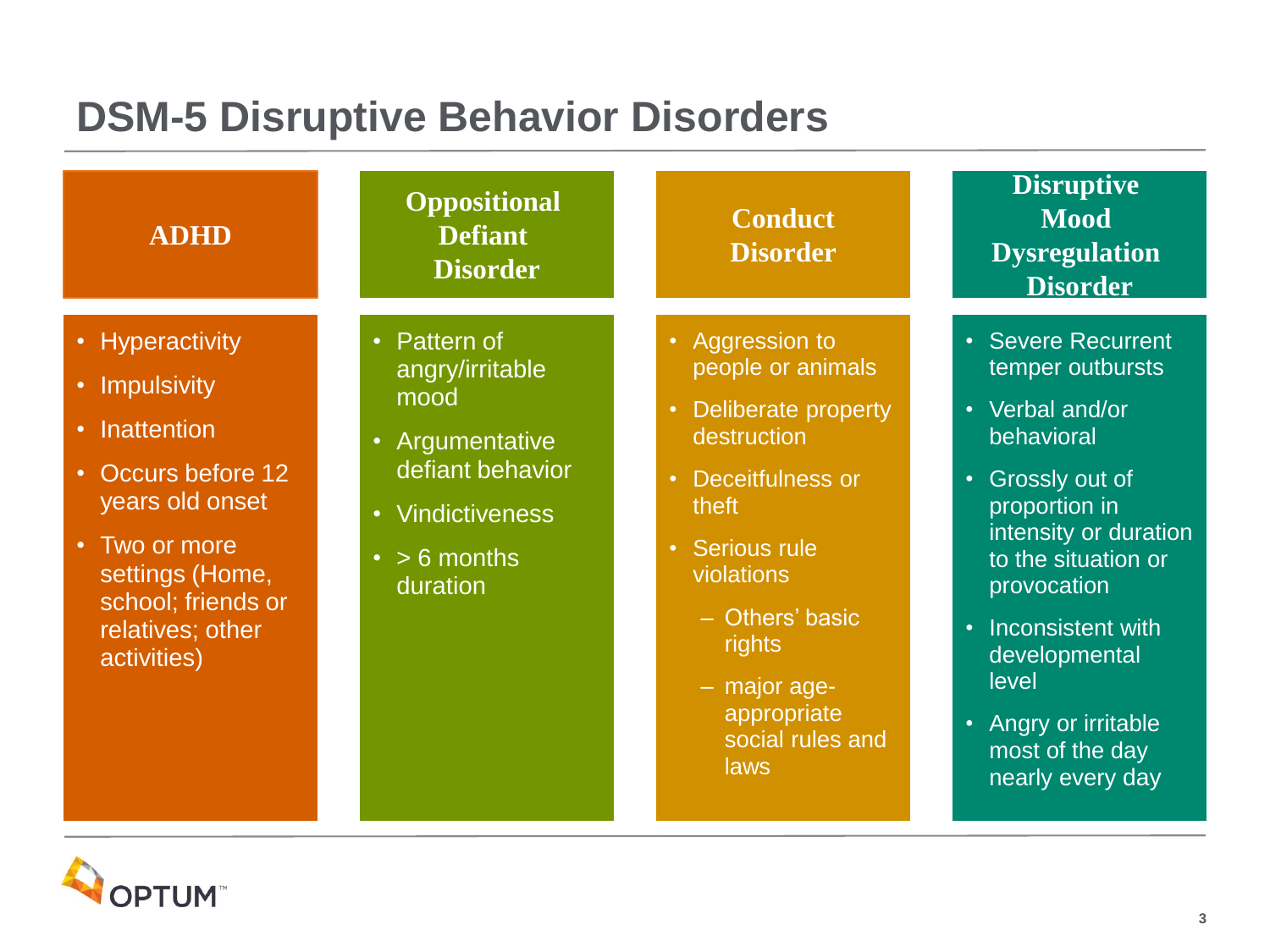#### **DSM-5 Disruptive Behavior Disorders**

| <b>ADHD</b>                                                                                                                                                                                                                                | <b>Oppositional</b><br><b>Defiant</b><br><b>Disorder</b>                                                                             | <b>Conduct</b><br><b>Disorder</b>                                                                                                                                                                                                                                           | <b>Disruptive</b><br><b>Mood</b><br><b>Dysregulation</b><br><b>Disorder</b>                                                                                                                                                                                                                                   |
|--------------------------------------------------------------------------------------------------------------------------------------------------------------------------------------------------------------------------------------------|--------------------------------------------------------------------------------------------------------------------------------------|-----------------------------------------------------------------------------------------------------------------------------------------------------------------------------------------------------------------------------------------------------------------------------|---------------------------------------------------------------------------------------------------------------------------------------------------------------------------------------------------------------------------------------------------------------------------------------------------------------|
| • Hyperactivity<br><b>Impulsivity</b><br>$\bullet$<br>Inattention<br>$\bullet$<br>Occurs before 12<br>$\bullet$<br>years old onset<br>Two or more<br>$\bullet$<br>settings (Home,<br>school; friends or<br>relatives; other<br>activities) | • Pattern of<br>angry/irritable<br>mood<br>• Argumentative<br>defiant behavior<br>• Vindictiveness<br>$\cdot$ > 6 months<br>duration | Aggression to<br>people or animals<br>Deliberate property<br>$\bullet$<br>destruction<br>Deceitfulness or<br>$\bullet$<br>theft<br><b>Serious rule</b><br>$\bullet$<br>violations<br>- Others' basic<br>rights<br>$-$ major age-<br>appropriate<br>social rules and<br>laws | • Severe Recurrent<br>temper outbursts<br>• Verbal and/or<br>behavioral<br><b>Grossly out of</b><br>$\bullet$<br>proportion in<br>intensity or duration<br>to the situation or<br>provocation<br>• Inconsistent with<br>developmental<br>level<br>• Angry or irritable<br>most of the day<br>nearly every day |

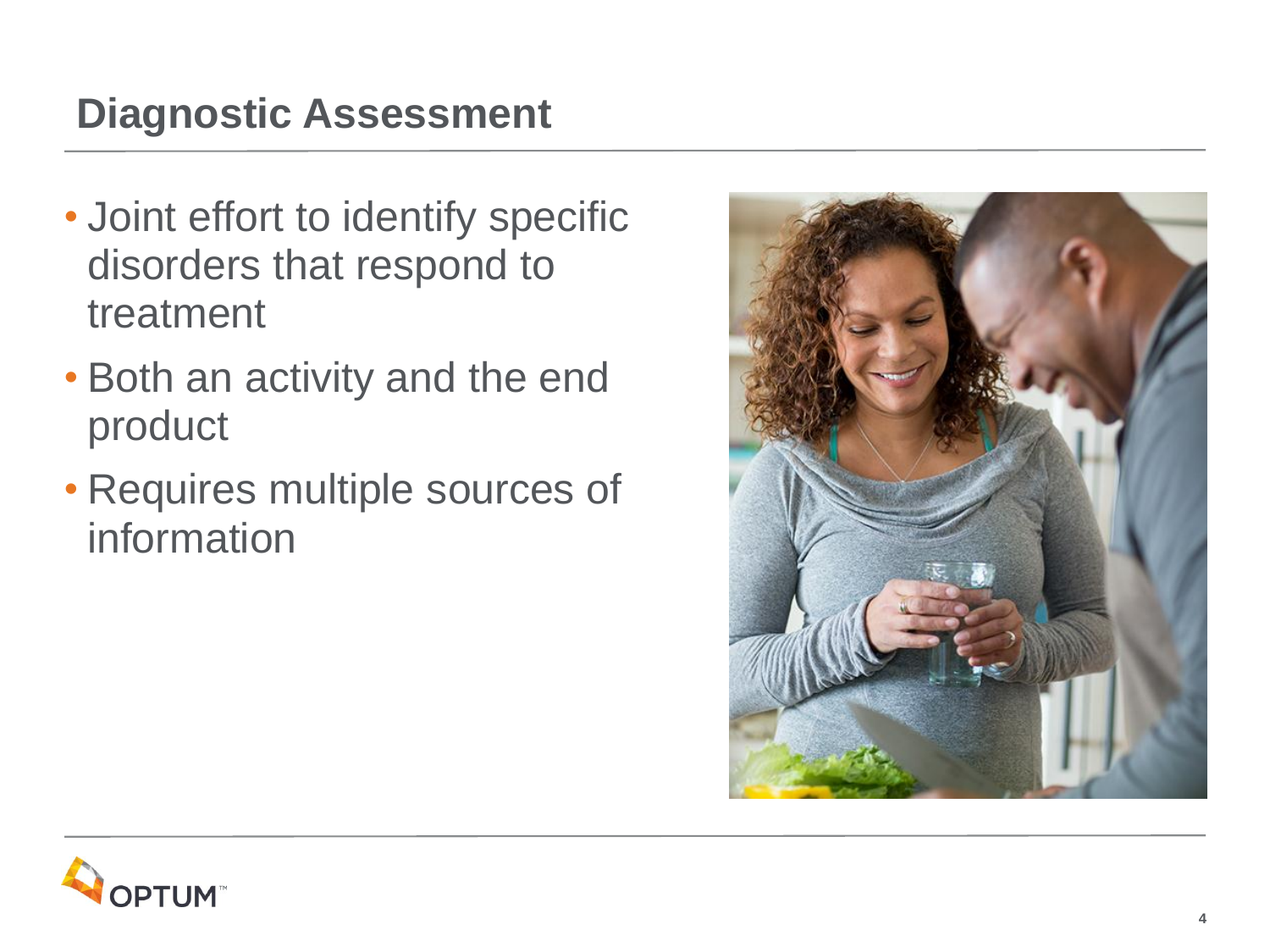## **Diagnostic Assessment**

- Joint effort to identify specific disorders that respond to treatment
- Both an activity and the end product
- Requires multiple sources of information



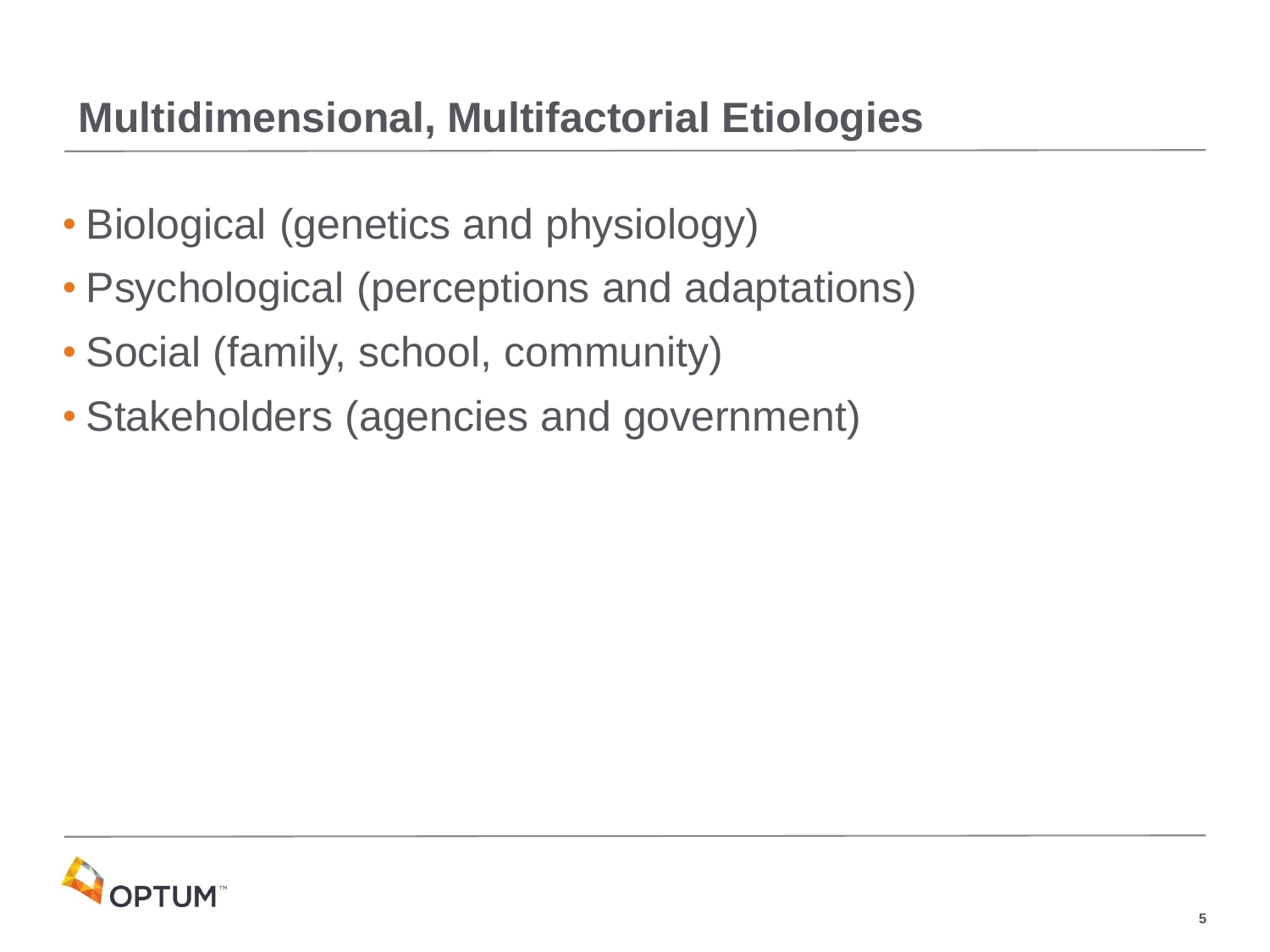## **Multidimensional, Multifactorial Etiologies**

- Biological (genetics and physiology)
- Psychological (perceptions and adaptations)
- Social (family, school, community)
- Stakeholders (agencies and government)

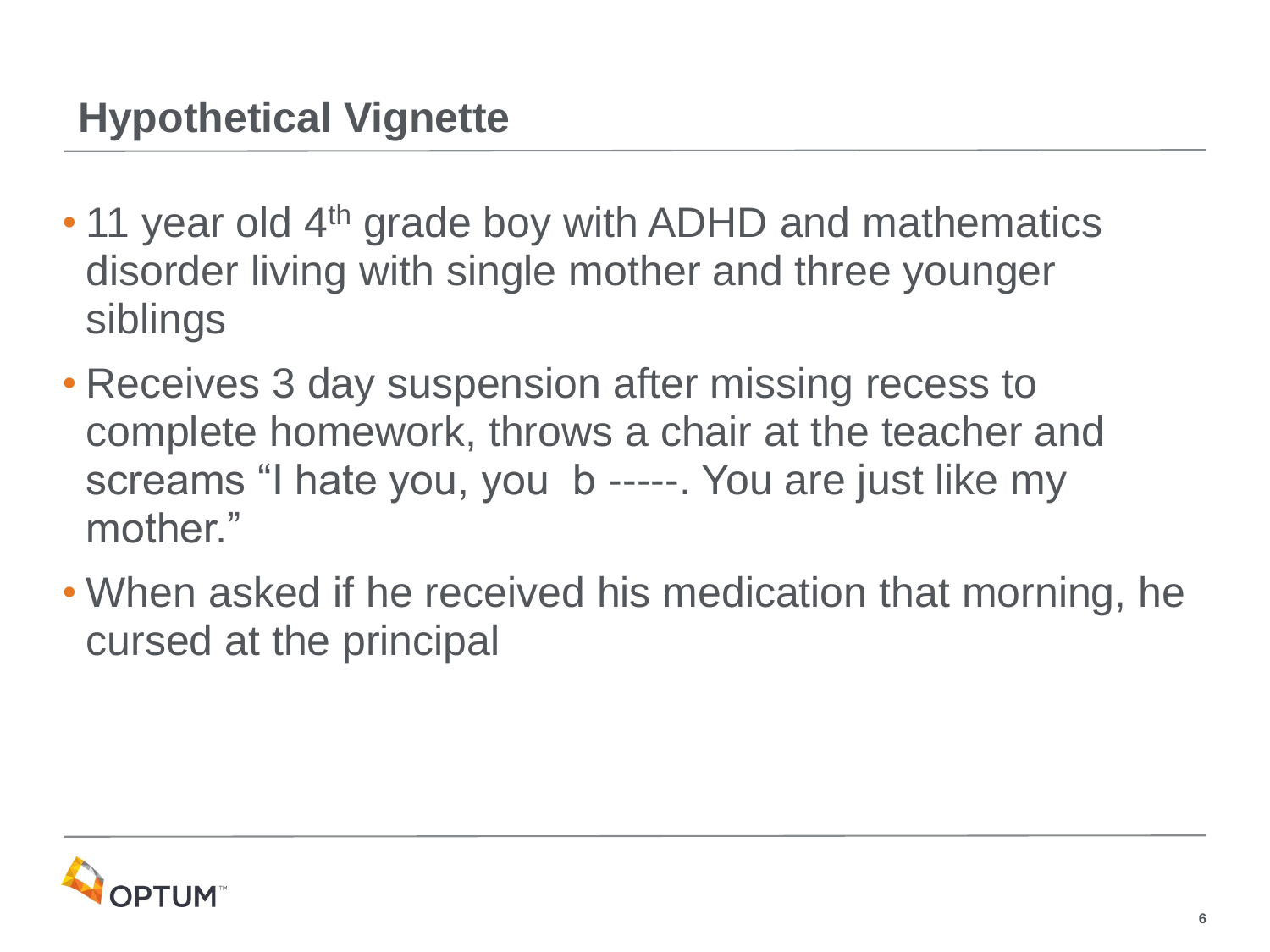- 11 year old 4<sup>th</sup> grade boy with ADHD and mathematics disorder living with single mother and three younger siblings
- Receives 3 day suspension after missing recess to complete homework, throws a chair at the teacher and screams "I hate you, you b -----. You are just like my mother."
- When asked if he received his medication that morning, he cursed at the principal

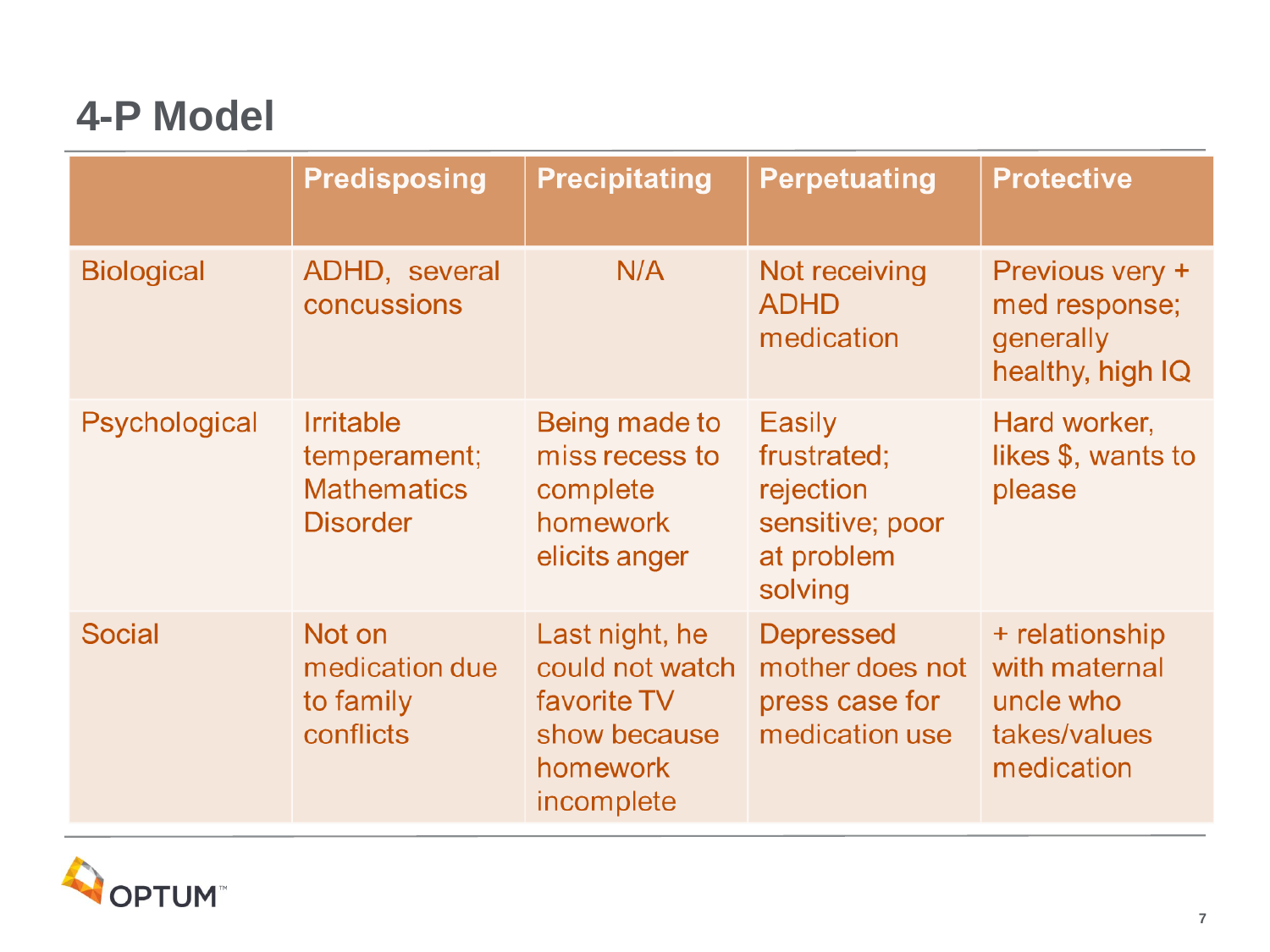#### **4-P Model**

|                   | <b>Predisposing</b>                                                       | <b>Precipitating</b>                                                                       | <b>Perpetuating</b>                                                                   | <b>Protective</b>                                                          |
|-------------------|---------------------------------------------------------------------------|--------------------------------------------------------------------------------------------|---------------------------------------------------------------------------------------|----------------------------------------------------------------------------|
| <b>Biological</b> | ADHD, several<br>concussions                                              | N/A                                                                                        | Not receiving<br><b>ADHD</b><br>medication                                            | Previous very +<br>med response;<br>generally<br>healthy, high IQ          |
| Psychological     | <b>Irritable</b><br>temperament;<br><b>Mathematics</b><br><b>Disorder</b> | Being made to<br>miss recess to<br>complete<br>homework<br>elicits anger                   | <b>Easily</b><br>frustrated;<br>rejection<br>sensitive; poor<br>at problem<br>solving | Hard worker,<br>likes \$, wants to<br>please                               |
| <b>Social</b>     | Not on<br>medication due<br>to family<br>conflicts                        | Last night, he<br>could not watch<br>favorite TV<br>show because<br>homework<br>incomplete | <b>Depressed</b><br>mother does not<br>press case for<br>medication use               | + relationship<br>with maternal<br>uncle who<br>takes/values<br>medication |

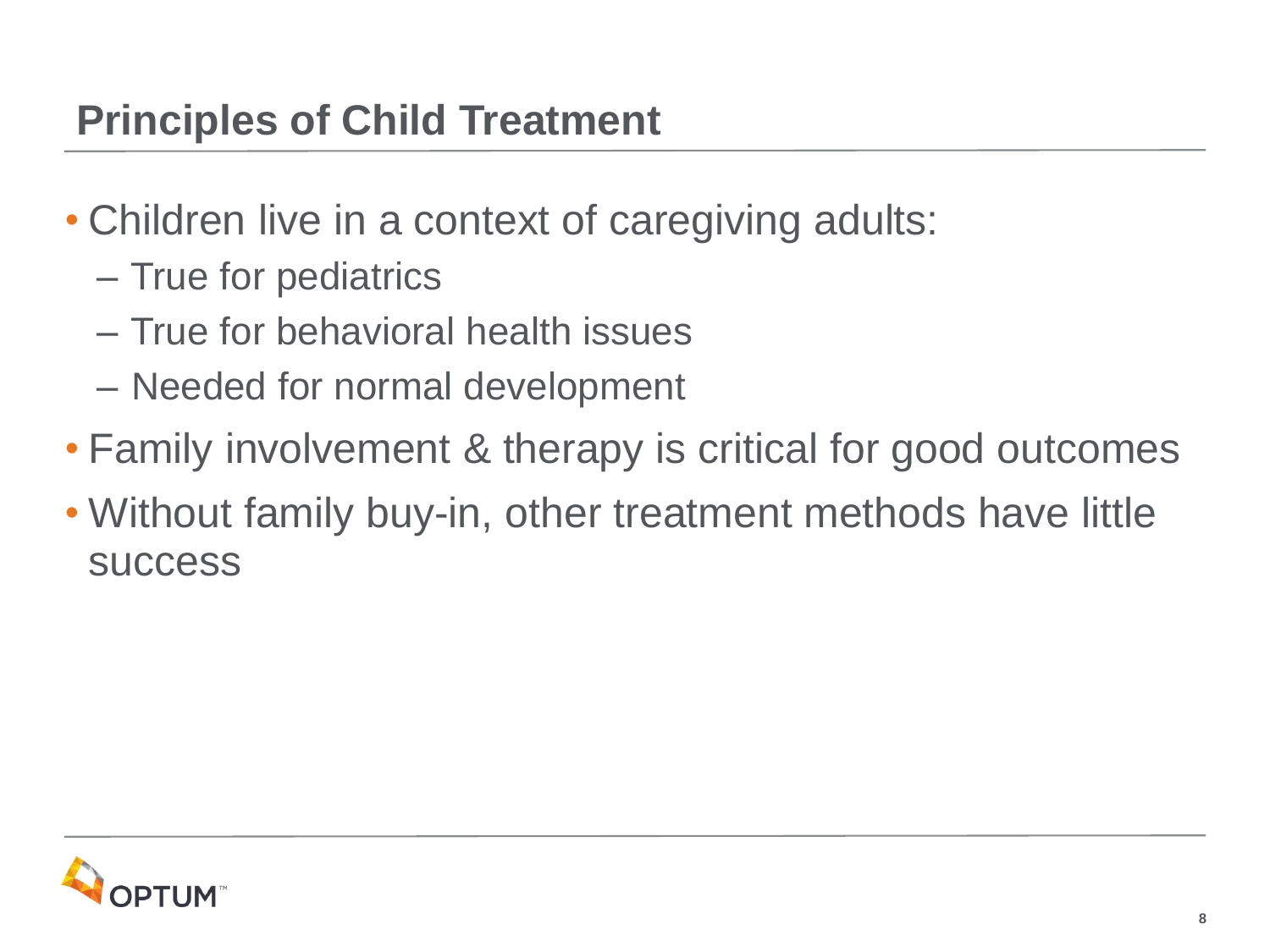## **Principles of Child Treatment**

- Children live in a context of caregiving adults:
	- True for pediatrics
	- True for behavioral health issues
	- Needed for normal development
- Family involvement & therapy is critical for good outcomes
- Without family buy-in, other treatment methods have little success

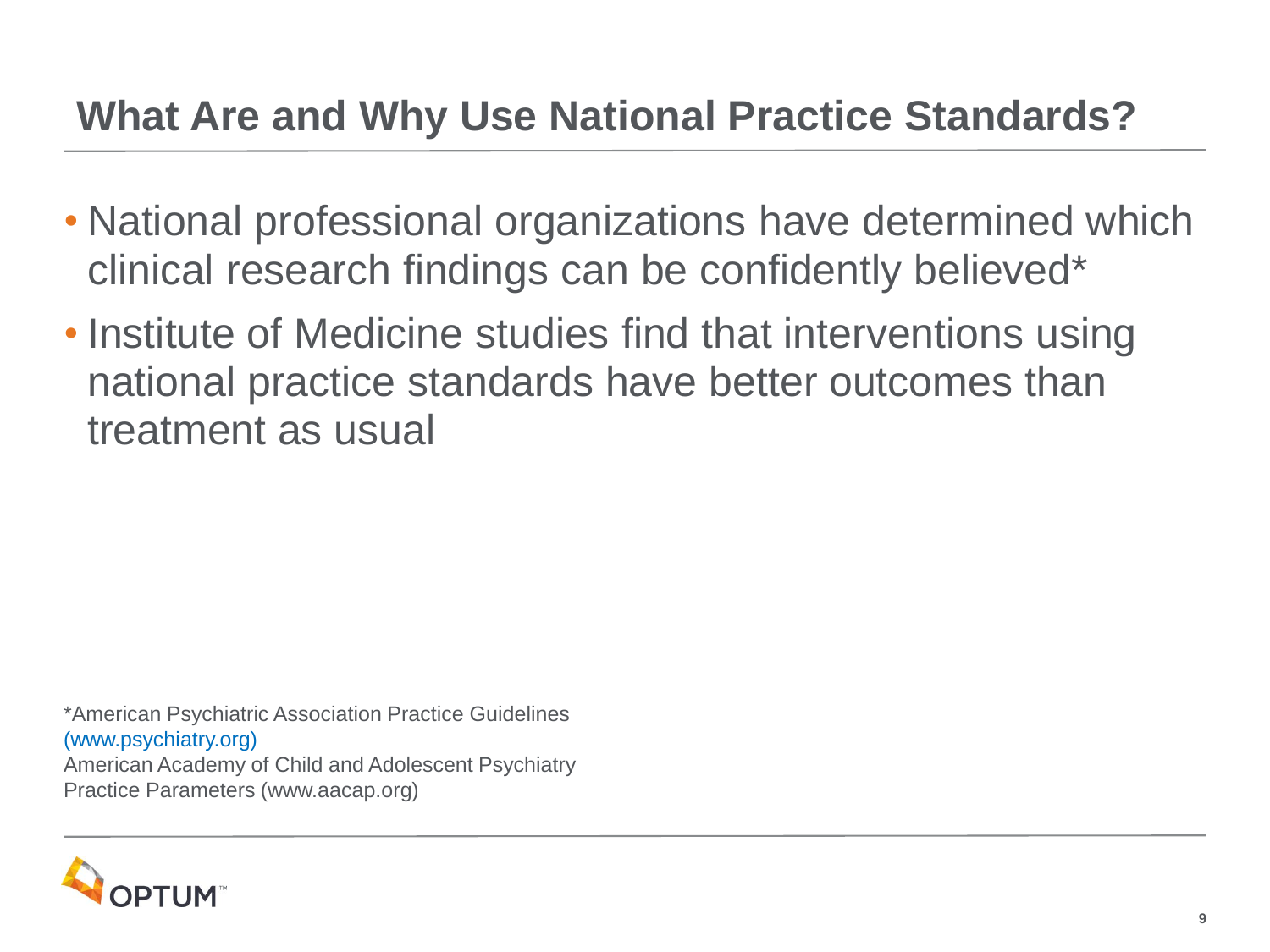#### **What Are and Why Use National Practice Standards?**

- National professional organizations have determined which clinical research findings can be confidently believed\*
- Institute of Medicine studies find that interventions using national practice standards have better outcomes than treatment as usual

\*American Psychiatric Association Practice Guidelines (www.psychiatry.org) American Academy of Child and Adolescent Psychiatry Practice Parameters (www.aacap.org)

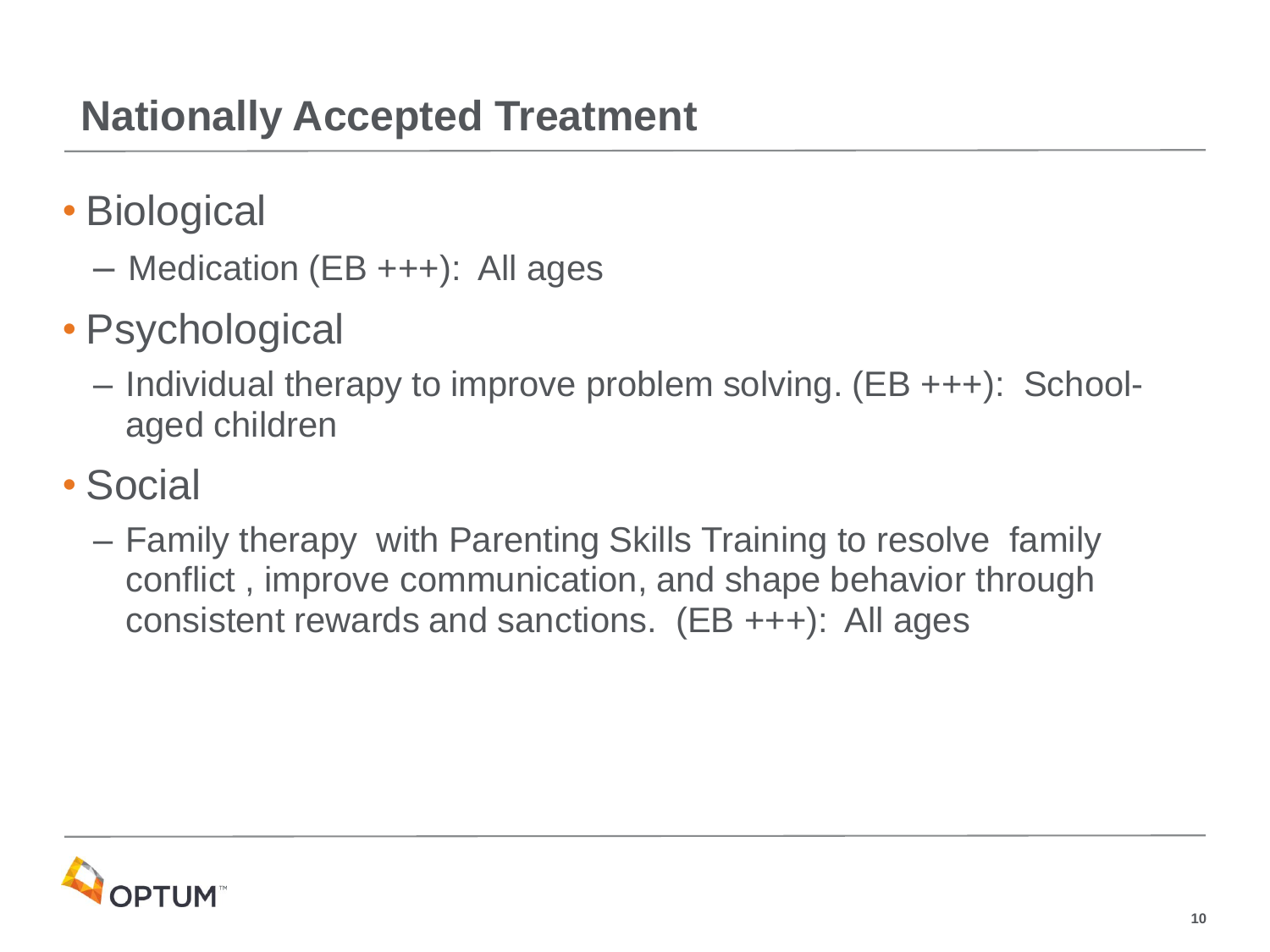## **Nationally Accepted Treatment**

- Biological
	- Medication (EB +++): All ages
- Psychological
	- Individual therapy to improve problem solving. (EB +++): Schoolaged children
- Social
	- Family therapy with Parenting Skills Training to resolve family conflict , improve communication, and shape behavior through consistent rewards and sanctions. (EB +++): All ages

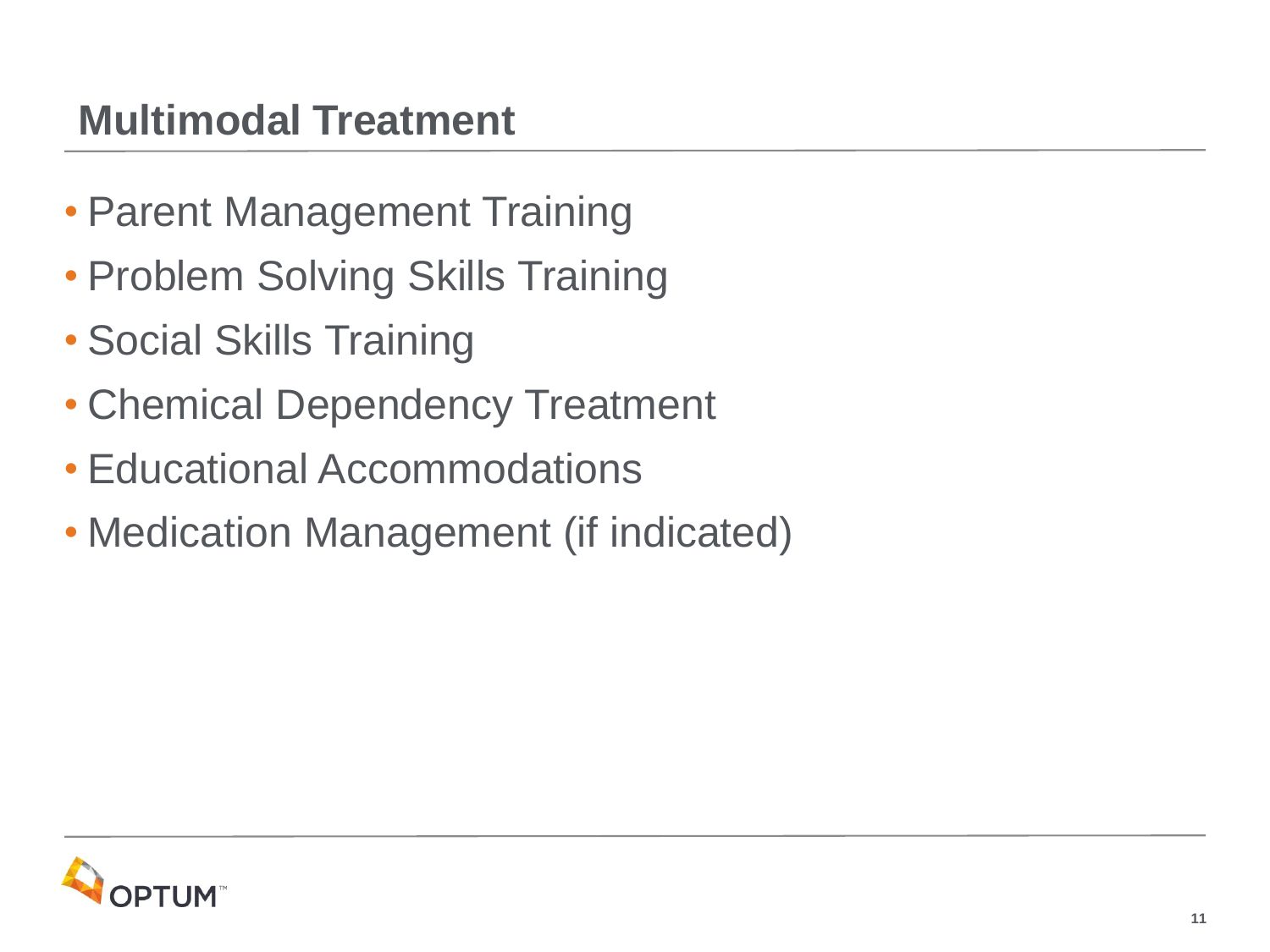#### **Multimodal Treatment**

- Parent Management Training
- Problem Solving Skills Training
- Social Skills Training
- Chemical Dependency Treatment
- Educational Accommodations
- Medication Management (if indicated)

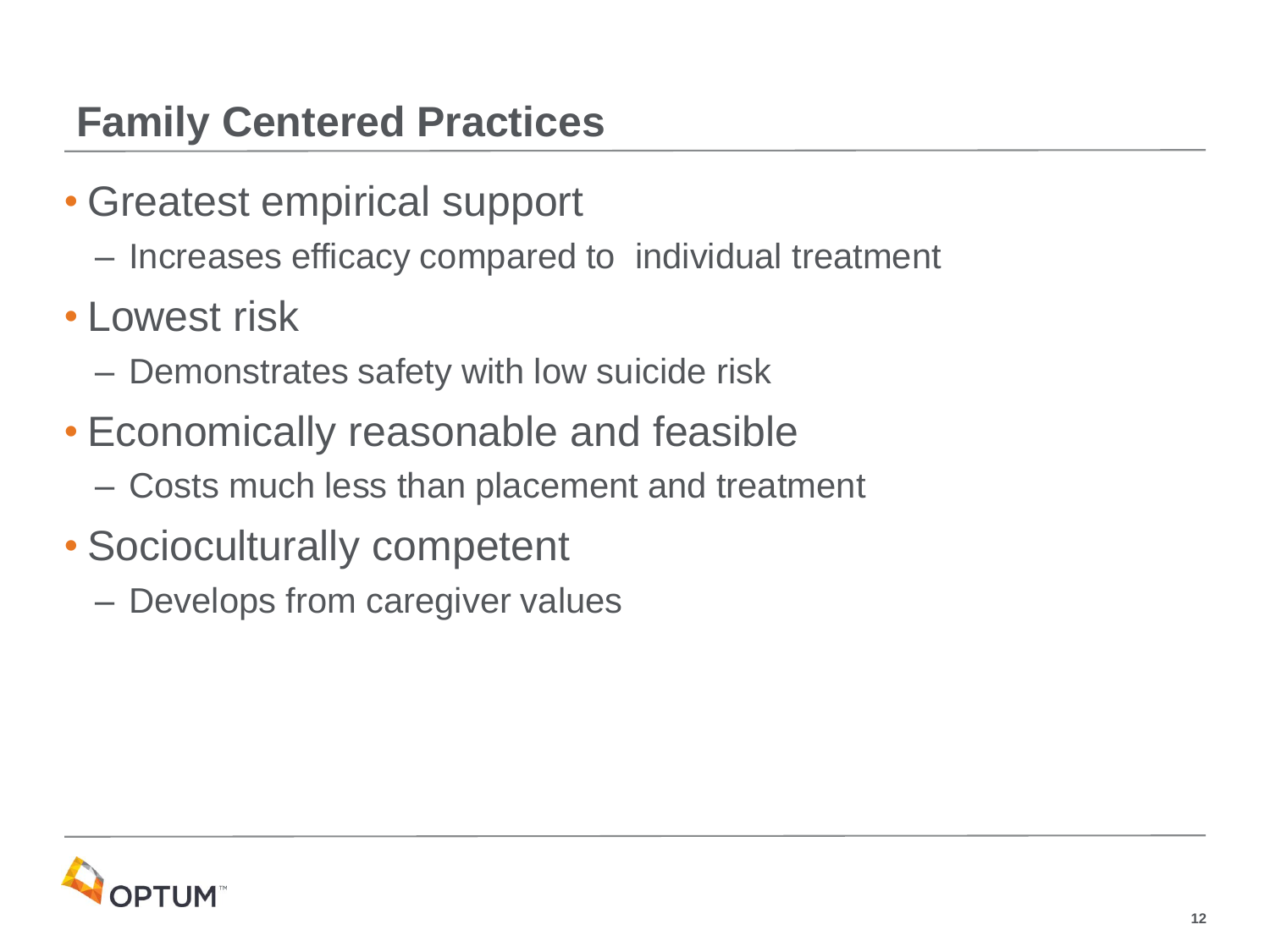## **Family Centered Practices**

- Greatest empirical support
	- Increases efficacy compared to individual treatment
- Lowest risk
	- Demonstrates safety with low suicide risk
- Economically reasonable and feasible
	- Costs much less than placement and treatment
- Socioculturally competent
	- Develops from caregiver values

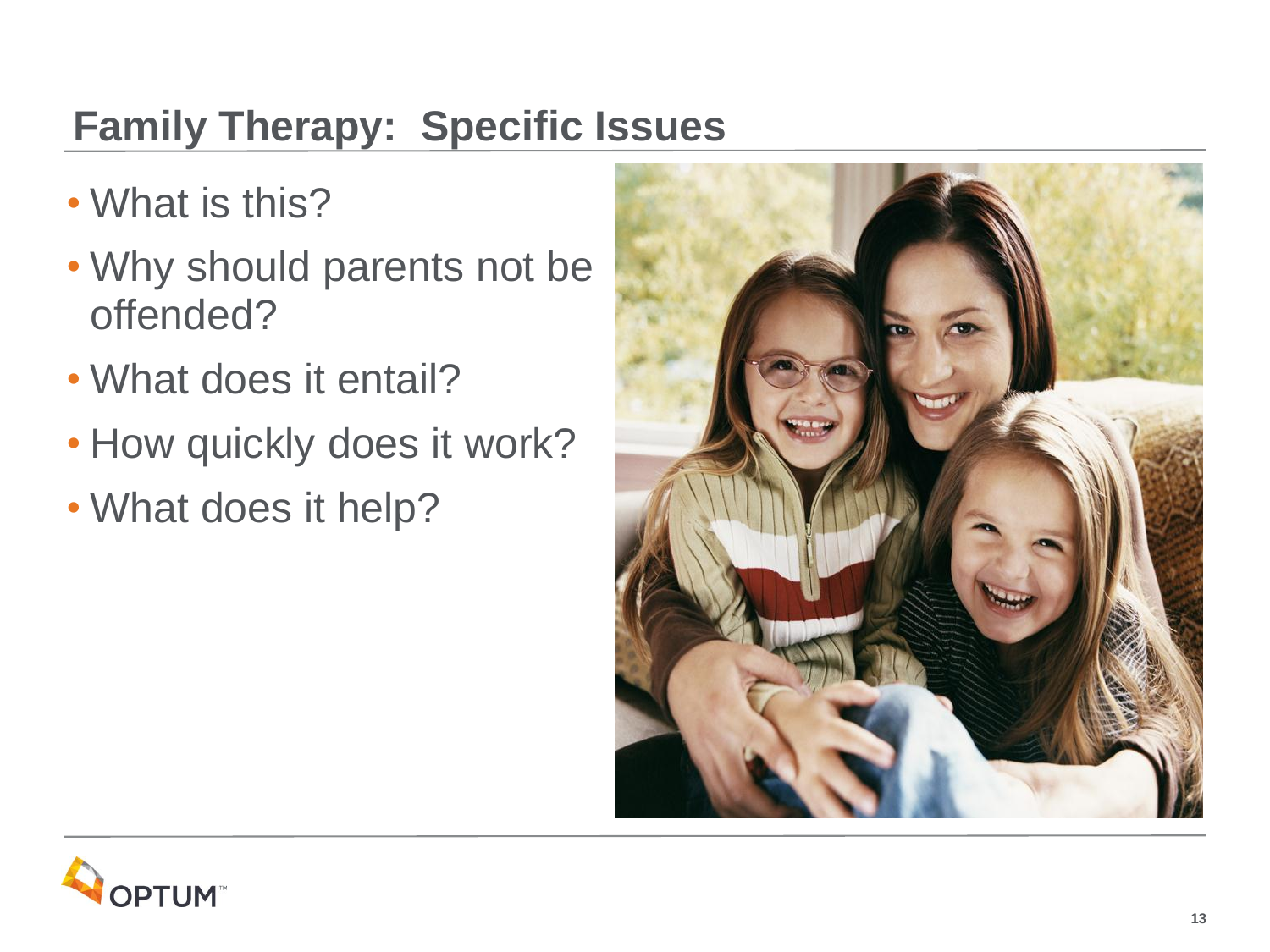## **Family Therapy: Specific Issues**

- What is this?
- Why should parents not be offended?
- What does it entail?
- How quickly does it work?
- What does it help?



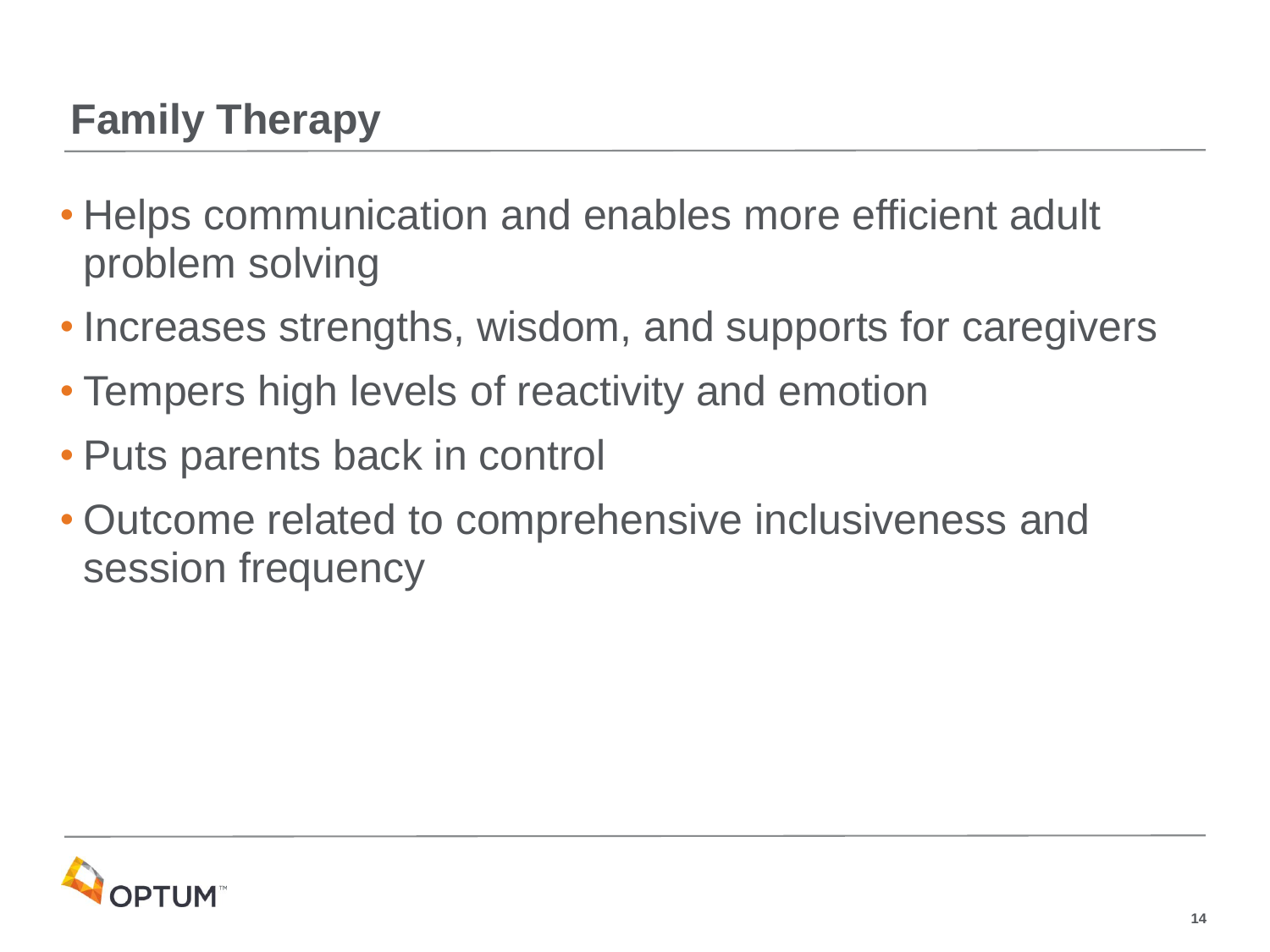# **Family Therapy**

- Helps communication and enables more efficient adult problem solving
- Increases strengths, wisdom, and supports for caregivers
- Tempers high levels of reactivity and emotion
- Puts parents back in control
- Outcome related to comprehensive inclusiveness and session frequency

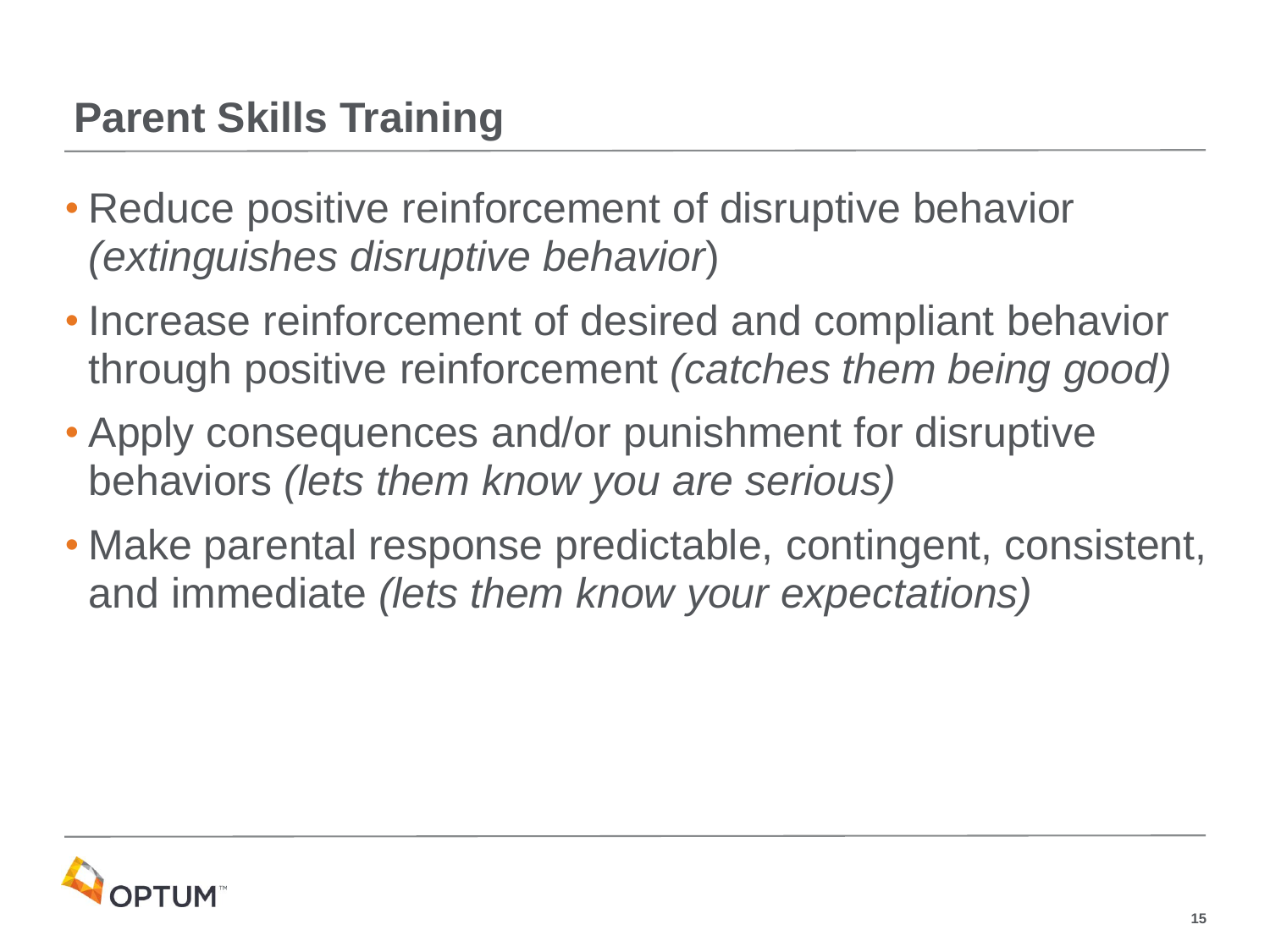## **Parent Skills Training**

- Reduce positive reinforcement of disruptive behavior *(extinguishes disruptive behavior*)
- Increase reinforcement of desired and compliant behavior through positive reinforcement *(catches them being good)*
- Apply consequences and/or punishment for disruptive behaviors *(lets them know you are serious)*
- Make parental response predictable, contingent, consistent, and immediate *(lets them know your expectations)*

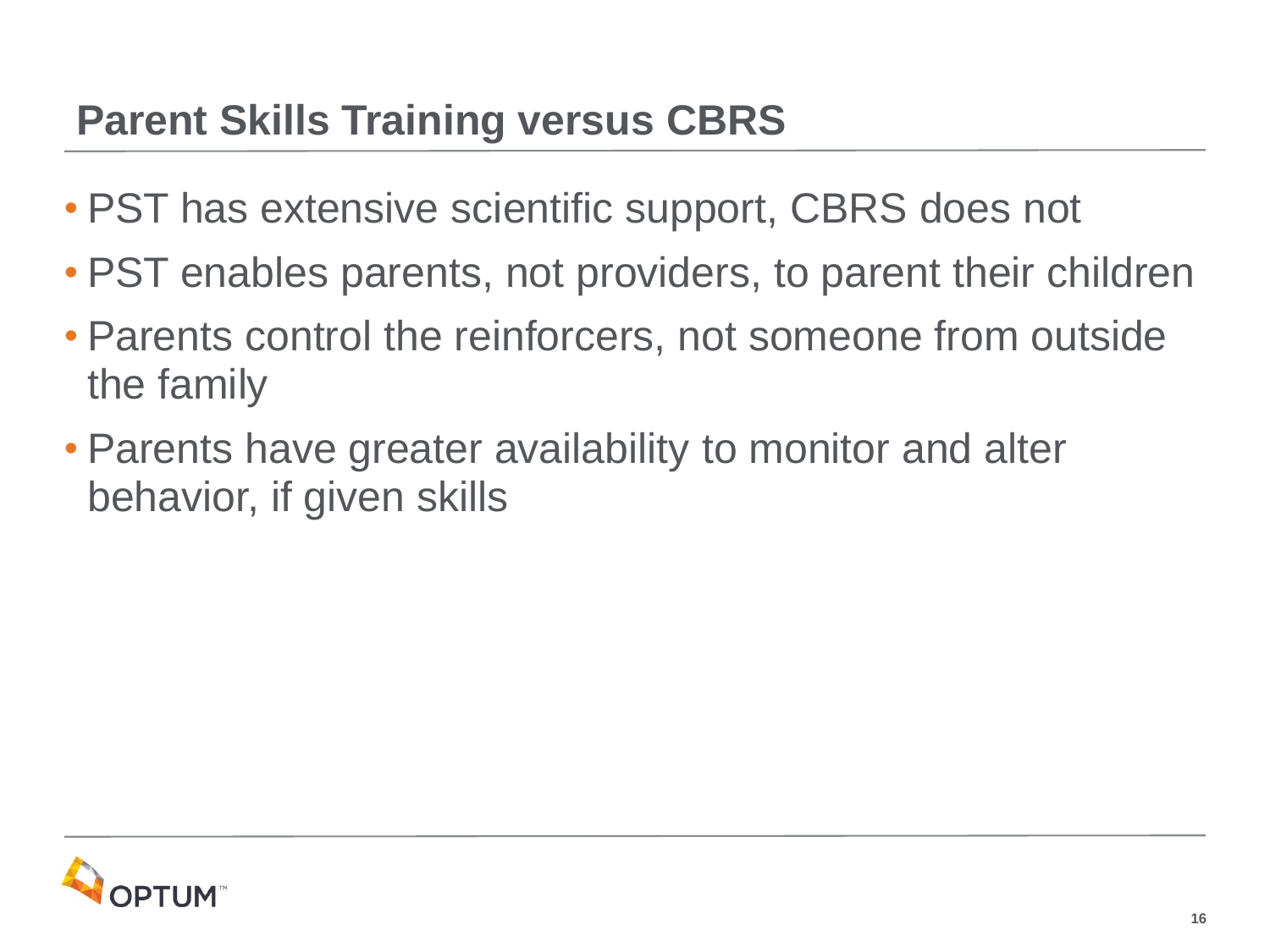### **Parent Skills Training versus CBRS**

- PST has extensive scientific support, CBRS does not
- PST enables parents, not providers, to parent their children
- Parents control the reinforcers, not someone from outside the family
- Parents have greater availability to monitor and alter behavior, if given skills

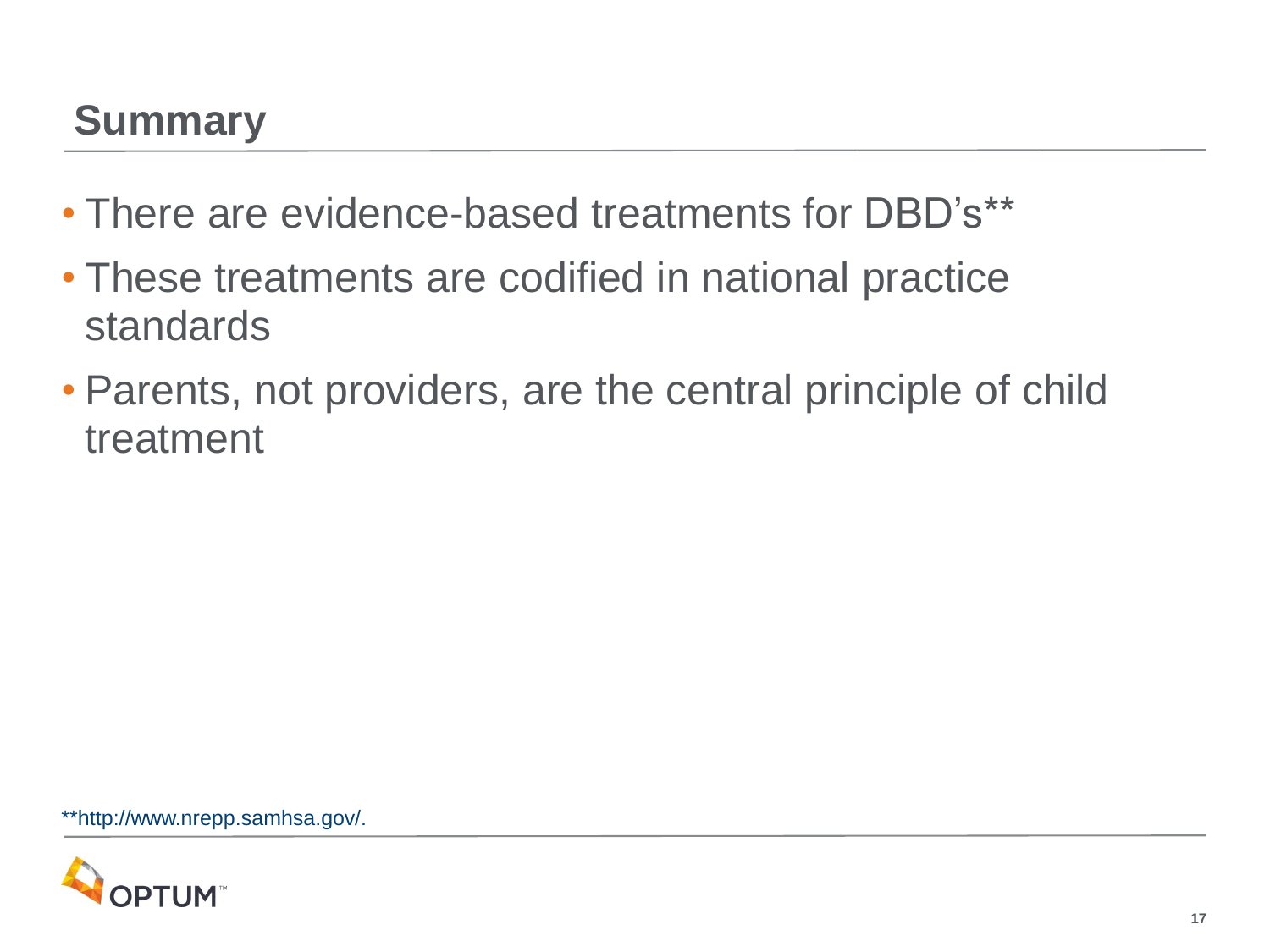## **Summary**

- There are evidence-based treatments for DBD's\*\*
- These treatments are codified in national practice standards
- Parents, not providers, are the central principle of child treatment

\*\*http://www.nrepp.samhsa.gov/.